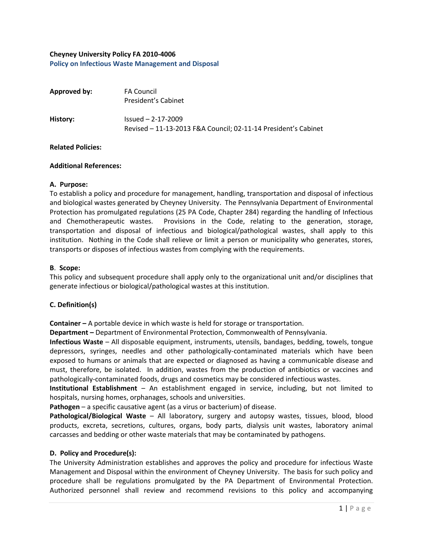# **Cheyney University Policy FA 2010-4006 Policy on Infectious Waste Management and Disposal**

| Approved by: | <b>FA Council</b><br>President's Cabinet                                              |
|--------------|---------------------------------------------------------------------------------------|
| History:     | $Isued - 2-17-2009$<br>Revised - 11-13-2013 F&A Council; 02-11-14 President's Cabinet |

#### **Related Policies:**

### **Additional References:**

### **A. Purpose:**

To establish a policy and procedure for management, handling, transportation and disposal of infectious and biological wastes generated by Cheyney University. The Pennsylvania Department of Environmental Protection has promulgated regulations (25 PA Code, Chapter 284) regarding the handling of Infectious and Chemotherapeutic wastes. Provisions in the Code, relating to the generation, storage, transportation and disposal of infectious and biological/pathological wastes, shall apply to this institution. Nothing in the Code shall relieve or limit a person or municipality who generates, stores, transports or disposes of infectious wastes from complying with the requirements.

### **B**. **Scope:**

This policy and subsequent procedure shall apply only to the organizational unit and/or disciplines that generate infectious or biological/pathological wastes at this institution.

## **C. Definition(s)**

**Container –** A portable device in which waste is held for storage or transportation.

**Department –** Department of Environmental Protection, Commonwealth of Pennsylvania.

**Infectious Waste** – All disposable equipment, instruments, utensils, bandages, bedding, towels, tongue depressors, syringes, needles and other pathologically-contaminated materials which have been exposed to humans or animals that are expected or diagnosed as having a communicable disease and must, therefore, be isolated. In addition, wastes from the production of antibiotics or vaccines and pathologically-contaminated foods, drugs and cosmetics may be considered infectious wastes.

**Institutional Establishment** – An establishment engaged in service, including, but not limited to hospitals, nursing homes, orphanages, schools and universities.

**Pathogen** – a specific causative agent (as a virus or bacterium) of disease.

**Pathological/Biological Waste** – All laboratory, surgery and autopsy wastes, tissues, blood, blood products, excreta, secretions, cultures, organs, body parts, dialysis unit wastes, laboratory animal carcasses and bedding or other waste materials that may be contaminated by pathogens.

## **D. Policy and Procedure(s):**

The University Administration establishes and approves the policy and procedure for infectious Waste Management and Disposal within the environment of Cheyney University. The basis for such policy and procedure shall be regulations promulgated by the PA Department of Environmental Protection. Authorized personnel shall review and recommend revisions to this policy and accompanying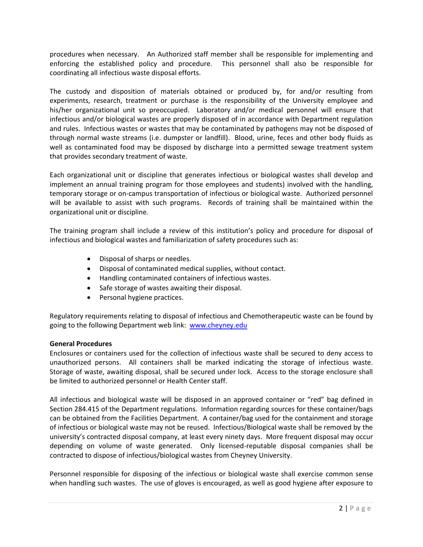procedures when necessary. An Authorized staff member shall be responsible for implementing and enforcing the established policy and procedure. This personnel shall also be responsible for coordinating all infectious waste disposal efforts.

The custody and disposition of materials obtained or produced by, for and/or resulting from experiments, research, treatment or purchase is the responsibility of the University employee and his/her organizational unit so preoccupied. Laboratory and/or medical personnel will ensure that infectious and/or biological wastes are properly disposed of in accordance with Department regulation and rules. Infectious wastes or wastes that may be contaminated by pathogens may not be disposed of through normal waste streams (i.e. dumpster or landfill). Blood, urine, feces and other body fluids as well as contaminated food may be disposed by discharge into a permitted sewage treatment system that provides secondary treatment of waste.

Each organizational unit or discipline that generates infectious or biological wastes shall develop and implement an annual training program for those employees and students) involved with the handling, temporary storage or on-campus transportation of infectious or biological waste. Authorized personnel will be available to assist with such programs. Records of training shall be maintained within the organizational unit or discipline.

The training program shall include a review of this institution's policy and procedure for disposal of infectious and biological wastes and familiarization of safety procedures such as:

- Disposal of sharps or needles.
- Disposal of contaminated medical supplies, without contact.
- Handling contaminated containers of infectious wastes.
- Safe storage of wastes awaiting their disposal.
- Personal hygiene practices.

Regulatory requirements relating to disposal of infectious and Chemotherapeutic waste can be found by going to the following Department web link: [www.cheyney.edu](http://www.cheyney.edu/)

## **General Procedures**

Enclosures or containers used for the collection of infectious waste shall be secured to deny access to unauthorized persons. All containers shall be marked indicating the storage of infectious waste. Storage of waste, awaiting disposal, shall be secured under lock. Access to the storage enclosure shall be limited to authorized personnel or Health Center staff.

All infectious and biological waste will be disposed in an approved container or "red" bag defined in Section 284.415 of the Department regulations. Information regarding sources for these container/bags can be obtained from the Facilities Department. A container/bag used for the containment and storage of infectious or biological waste may not be reused. Infectious/Biological waste shall be removed by the university's contracted disposal company, at least every ninety days. More frequent disposal may occur depending on volume of waste generated. Only licensed-reputable disposal companies shall be contracted to dispose of infectious/biological wastes from Cheyney University.

Personnel responsible for disposing of the infectious or biological waste shall exercise common sense when handling such wastes. The use of gloves is encouraged, as well as good hygiene after exposure to